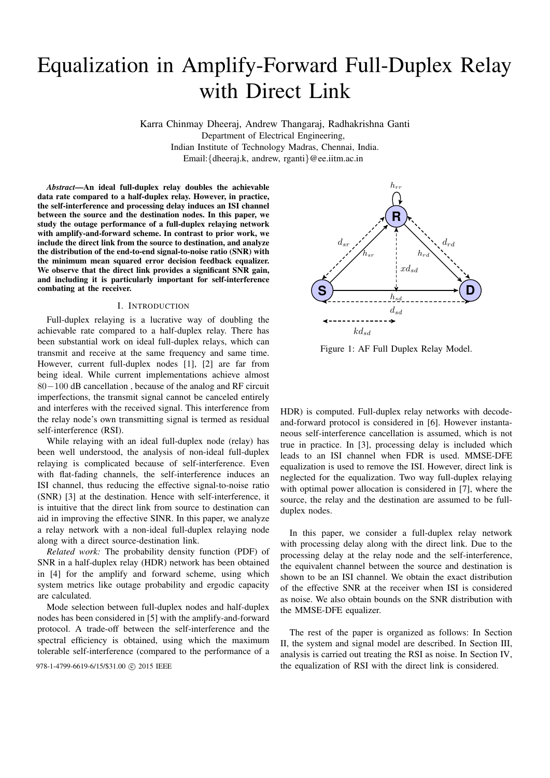# Equalization in Amplify-Forward Full-Duplex Relay with Direct Link

Karra Chinmay Dheeraj, Andrew Thangaraj, Radhakrishna Ganti

Department of Electrical Engineering,

Indian Institute of Technology Madras, Chennai, India.

Email:{dheeraj.k, andrew, rganti}@ee.iitm.ac.in

*Abstract*—An ideal full-duplex relay doubles the achievable data rate compared to a half-duplex relay. However, in practice, the self-interference and processing delay induces an ISI channel between the source and the destination nodes. In this paper, we study the outage performance of a full-duplex relaying network with amplify-and-forward scheme. In contrast to prior work, we include the direct link from the source to destination, and analyze the distribution of the end-to-end signal-to-noise ratio (SNR) with the minimum mean squared error decision feedback equalizer. We observe that the direct link provides a significant SNR gain, and including it is particularly important for self-interference combating at the receiver.

#### I. INTRODUCTION

Full-duplex relaying is a lucrative way of doubling the achievable rate compared to a half-duplex relay. There has been substantial work on ideal full-duplex relays, which can transmit and receive at the same frequency and same time. However, current full-duplex nodes [1], [2] are far from being ideal. While current implementations achieve almost 80−100 dB cancellation , because of the analog and RF circuit imperfections, the transmit signal cannot be canceled entirely and interferes with the received signal. This interference from the relay node's own transmitting signal is termed as residual self-interference (RSI).

While relaying with an ideal full-duplex node (relay) has been well understood, the analysis of non-ideal full-duplex relaying is complicated because of self-interference. Even with flat-fading channels, the self-interference induces an ISI channel, thus reducing the effective signal-to-noise ratio (SNR) [3] at the destination. Hence with self-interference, it is intuitive that the direct link from source to destination can aid in improving the effective SINR. In this paper, we analyze a relay network with a non-ideal full-duplex relaying node along with a direct source-destination link.

*Related work:* The probability density function (PDF) of SNR in a half-duplex relay (HDR) network has been obtained in [4] for the amplify and forward scheme, using which system metrics like outage probability and ergodic capacity are calculated.

Mode selection between full-duplex nodes and half-duplex nodes has been considered in [5] with the amplify-and-forward protocol. A trade-off between the self-interference and the spectral efficiency is obtained, using which the maximum tolerable self-interference (compared to the performance of a



Figure 1: AF Full Duplex Relay Model.

HDR) is computed. Full-duplex relay networks with decodeand-forward protocol is considered in [6]. However instantaneous self-interference cancellation is assumed, which is not true in practice. In [3], processing delay is included which leads to an ISI channel when FDR is used. MMSE-DFE equalization is used to remove the ISI. However, direct link is neglected for the equalization. Two way full-duplex relaying with optimal power allocation is considered in [7], where the source, the relay and the destination are assumed to be fullduplex nodes.

In this paper, we consider a full-duplex relay network with processing delay along with the direct link. Due to the processing delay at the relay node and the self-interference, the equivalent channel between the source and destination is shown to be an ISI channel. We obtain the exact distribution of the effective SNR at the receiver when ISI is considered as noise. We also obtain bounds on the SNR distribution with the MMSE-DFE equalizer.

The rest of the paper is organized as follows: In Section II, the system and signal model are described. In Section III, analysis is carried out treating the RSI as noise. In Section IV, 978-1-4799-6619-6/15/\$31.00 © 2015 IEEE the equalization of RSI with the direct link is considered.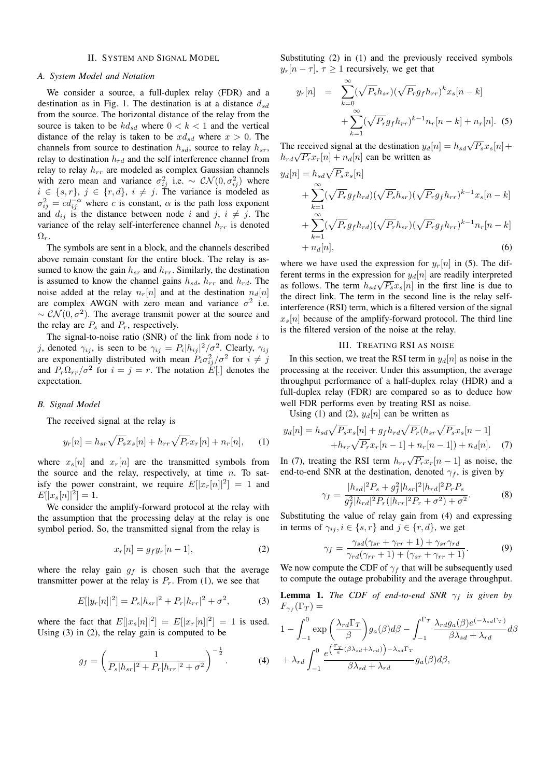## II. SYSTEM AND SIGNAL MODEL

#### *A. System Model and Notation*

We consider a source, a full-duplex relay (FDR) and a destination as in Fig. 1. The destination is at a distance  $d_{sd}$ from the source. The horizontal distance of the relay from the source is taken to be  $kd_{sd}$  where  $0 < k < 1$  and the vertical distance of the relay is taken to be  $xd_{sd}$  where  $x > 0$ . The channels from source to destination  $h_{sd}$ , source to relay  $h_{sr}$ , relay to destination  $h_{rd}$  and the self interference channel from relay to relay  $h_{rr}$  are modeled as complex Gaussian channels with zero mean and variance  $\sigma_{ij}^2$  i.e.  $\sim \mathcal{CN}(0, \sigma_{ij}^2)$  where  $i \in \{s, r\}, \, j \in \{r, d\}, \, i \neq j$ . The variance is modeled as  $\sigma_{ij}^2 = c d_{ij}^{-\alpha}$  where c is constant,  $\alpha$  is the path loss exponent and  $d_{ij}$  is the distance between node i and j,  $i \neq j$ . The variance of the relay self-interference channel  $h_{rr}$  is denoted  $\Omega_r$ .

The symbols are sent in a block, and the channels described above remain constant for the entire block. The relay is assumed to know the gain  $h_{sr}$  and  $h_{rr}$ . Similarly, the destination is assumed to know the channel gains  $h_{sd}$ ,  $h_{rr}$  and  $h_{rd}$ . The noise added at the relay  $n_r[n]$  and at the destination  $n_d[n]$ are complex AWGN with zero mean and variance  $\sigma^2$  i.e.  $\sim \mathcal{CN}(0, \sigma^2)$ . The average transmit power at the source and the relay are  $P_s$  and  $P_r$ , respectively.

The signal-to-noise ratio (SNR) of the link from node  $i$  to j, denoted  $\gamma_{ij}$ , is seen to be  $\gamma_{ij} = P_i |h_{ij}|^2 / \sigma^2$ . Clearly,  $\gamma_{ij}$ are exponentially distributed with mean  $P_i \sigma_{ij}^2/\sigma^2$  for  $i \neq j$ and  $P_r \Omega_{rr}/\sigma^2$  for  $i = j = r$ . The notation  $\tilde{E}[\cdot]$  denotes the expectation.

#### *B. Signal Model*

The received signal at the relay is

$$
y_r[n] = h_{sr} \sqrt{P_s} x_s[n] + h_{rr} \sqrt{P_r} x_r[n] + n_r[n], \quad (1)
$$

where  $x_s[n]$  and  $x_r[n]$  are the transmitted symbols from the source and the relay, respectively, at time  $n$ . To satisfy the power constraint, we require  $E[|x_r[n]|^2] = 1$  and  $E[|x_s[n]|^2] = 1.$ 

We consider the amplify-forward protocol at the relay with the assumption that the processing delay at the relay is one symbol period. So, the transmitted signal from the relay is

$$
x_r[n] = g_f y_r[n-1],\tag{2}
$$

where the relay gain  $g_f$  is chosen such that the average transmitter power at the relay is  $P_r$ . From (1), we see that

$$
E[|y_r[n]|^2] = P_s|h_{sr}|^2 + P_r|h_{rr}|^2 + \sigma^2,
$$
 (3)

where the fact that  $E[|x_s[n]|^2] = E[|x_r[n]|^2] = 1$  is used. Using (3) in (2), the relay gain is computed to be

$$
g_f = \left(\frac{1}{P_s|h_{sr}|^2 + P_r|h_{rr}|^2 + \sigma^2}\right)^{-\frac{1}{2}}.\tag{4}
$$

Substituting  $(2)$  in  $(1)$  and the previously received symbols  $y_r[n-\tau], \tau \geq 1$  recursively, we get that

$$
y_r[n] = \sum_{k=0}^{\infty} (\sqrt{P_s} h_{sr}) (\sqrt{P_r} g_f h_{rr})^k x_s[n-k] + \sum_{k=1}^{\infty} (\sqrt{P_r} g_f h_{rr})^{k-1} n_r[n-k] + n_r[n].
$$
 (5)

The received signal at the destination  $y_d[n] = h_{sd}\sqrt{P_s}x_s[n] +$ The received signal at the destination  $y_d$ <br> $h_{rd}\sqrt{P_r}x_r[n] + n_d[n]$  can be written as

$$
y_d[n] = h_{sd}\sqrt{P_s}x_s[n]
$$
  
+  $\sum_{k=1}^{\infty} (\sqrt{P_r}g_f h_{rd})(\sqrt{P_s}h_{sr})(\sqrt{P_r}g_f h_{rr})^{k-1}x_s[n-k]$   
+  $\sum_{k=1}^{\infty} (\sqrt{P_r}g_f h_{rd})(\sqrt{P_r}h_{sr})(\sqrt{P_r}g_f h_{rr})^{k-1}n_r[n-k]$   
+  $n_d[n],$  (6)

where we have used the expression for  $y_r[n]$  in (5). The different terms in the expression for  $y_d[n]$  are readily interpreted Figure 1 definition in the expression for  $y_{d}[n]$  are readily interpreted<br>as follows. The term  $h_{sd}\sqrt{P_s}x_s[n]$  in the first line is due to the direct link. The term in the second line is the relay selfinterference (RSI) term, which is a filtered version of the signal  $x_s[n]$  because of the amplify-forward protocol. The third line is the filtered version of the noise at the relay.

#### III. TREATING RSI AS NOISE

In this section, we treat the RSI term in  $y_d[n]$  as noise in the processing at the receiver. Under this assumption, the average throughput performance of a half-duplex relay (HDR) and a full-duplex relay (FDR) are compared so as to deduce how well FDR performs even by treating RSI as noise.

Using (1) and (2),  $y_d[n]$  can be written as

$$
y_d[n] = h_{sd}\sqrt{P_s}x_s[n] + g_f h_{rd}\sqrt{P_r}(h_{sr}\sqrt{P_s}x_s[n-1] + h_{rr}\sqrt{P_r}x_r[n-1] + n_r[n-1]) + n_d[n].
$$
 (7)

In (7), treating the RSI term  $h_{rr}\sqrt{P_r}x_r[n-1]$  as noise, the end-to-end SNR at the destination, denoted  $\gamma_f$ , is given by

$$
\gamma_f = \frac{|h_{sd}|^2 P_s + g_f^2 |h_{sr}|^2 |h_{rd}|^2 P_r P_s}{g_f^2 |h_{rd}|^2 P_r (|h_{rr}|^2 P_r + \sigma^2) + \sigma^2}.
$$
\n(8)

Substituting the value of relay gain from (4) and expressing in terms of  $\gamma_{ij}$ ,  $i \in \{s, r\}$  and  $j \in \{r, d\}$ , we get

$$
\gamma_f = \frac{\gamma_{sd}(\gamma_{sr} + \gamma_{rr} + 1) + \gamma_{sr}\gamma_{rd}}{\gamma_{rd}(\gamma_{rr} + 1) + (\gamma_{sr} + \gamma_{rr} + 1)}.
$$
\n(9)

We now compute the CDF of  $\gamma_f$  that will be subsequently used to compute the outage probability and the average throughput.

**Lemma 1.** *The CDF of end-to-end SNR*  $\gamma_f$  *is given by*  $F_{\gamma_f}(\Gamma_T) =$ 

$$
1 - \int_{-1}^{0} \exp\left(\frac{\lambda_{rd}\Gamma_T}{\beta}\right) g_a(\beta) d\beta - \int_{-1}^{\Gamma_T} \frac{\lambda_{rd} g_a(\beta) e^{(-\lambda_{sd}\Gamma_T)}}{\beta \lambda_{sd} + \lambda_{rd}} d\beta
$$
  
+  $\lambda_{rd} \int_{-1}^{0} \frac{e^{\left(\frac{\Gamma_T}{a}(\beta \lambda_{sd} + \lambda_{rd})\right) - \lambda_{sd}\Gamma_T}}{\beta \lambda_{sd} + \lambda_{rd}} g_a(\beta) d\beta,$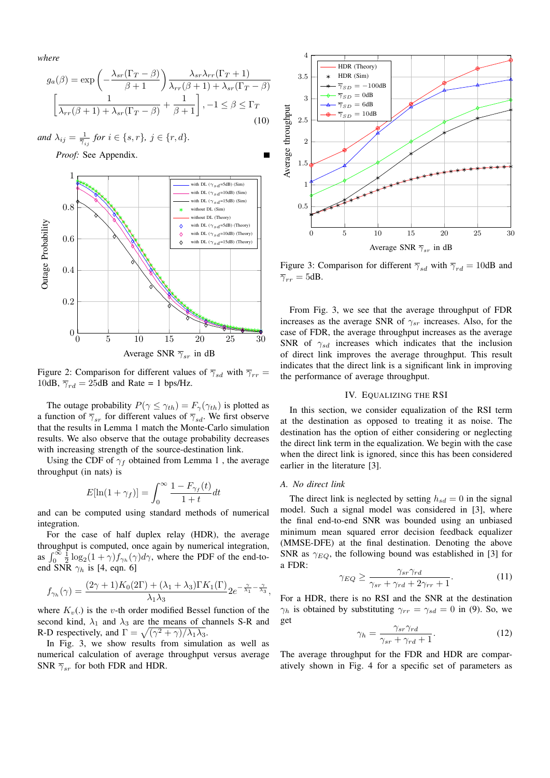*where*

$$
g_a(\beta) = \exp\left(-\frac{\lambda_{sr}(\Gamma_T - \beta)}{\beta + 1}\right) \frac{\lambda_{sr}\lambda_{rr}(\Gamma_T + 1)}{\lambda_{rr}(\beta + 1) + \lambda_{sr}(\Gamma_T - \beta)}
$$

$$
\left[\frac{1}{\lambda_{rr}(\beta + 1) + \lambda_{sr}(\Gamma_T - \beta)} + \frac{1}{\beta + 1}\right], -1 \le \beta \le \Gamma_T
$$
(10)





Figure 2: Comparison for different values of  $\overline{\gamma}_{sd}$  with  $\overline{\gamma}_{rr}$  = 10dB,  $\overline{\gamma}_{rd} = 25$ dB and Rate = 1 bps/Hz.

The outage probability  $P(\gamma \leq \gamma_{th}) = F_{\gamma}(\gamma_{th})$  is plotted as a function of  $\overline{\gamma}_{sr}$  for different values of  $\overline{\gamma}_{sd}$ . We first observe that the results in Lemma 1 match the Monte-Carlo simulation results. We also observe that the outage probability decreases with increasing strength of the source-destination link.

Using the CDF of  $\gamma_f$  obtained from Lemma 1, the average throughput (in nats) is

$$
E[\ln(1+\gamma_f)] = \int_0^\infty \frac{1 - F_{\gamma_f}(t)}{1 + t} dt
$$

and can be computed using standard methods of numerical integration.

For the case of half duplex relay (HDR), the average throughput is computed, once again by numerical integration, as  $\int_0^\infty \frac{1}{2} \log_2(1+\gamma) f_{\gamma_h}(\gamma) d\gamma$ , where the PDF of the end-toend SNR  $\gamma_h$  is [4, eqn. 6]

$$
f_{\gamma_h}(\gamma) = \frac{(2\gamma + 1)K_0(2\Gamma) + (\lambda_1 + \lambda_3)\Gamma K_1(\Gamma)}{\lambda_1 \lambda_3} 2e^{-\frac{\gamma}{\lambda_1} - \frac{\gamma}{\lambda_3}},
$$

where  $K_v(.)$  is the v-th order modified Bessel function of the second kind,  $\lambda_1$  and  $\lambda_3$  are the means of channels S-R and R-D respectively, and  $\Gamma = \sqrt{(\gamma^2 + \gamma)/\lambda_1\lambda_3}$ .

In Fig. 3, we show results from simulation as well as numerical calculation of average throughput versus average SNR  $\overline{\gamma}_{sr}$  for both FDR and HDR.



Figure 3: Comparison for different  $\overline{\gamma}_{sd}$  with  $\overline{\gamma}_{rd} = 10$ dB and  $\overline{\gamma}_{rr} = 5$ dB.

From Fig. 3, we see that the average throughput of FDR increases as the average SNR of  $\gamma_{sr}$  increases. Also, for the case of FDR, the average throughput increases as the average SNR of  $\gamma_{sd}$  increases which indicates that the inclusion of direct link improves the average throughput. This result indicates that the direct link is a significant link in improving the performance of average throughput.

## IV. EQUALIZING THE RSI

In this section, we consider equalization of the RSI term at the destination as opposed to treating it as noise. The destination has the option of either considering or neglecting the direct link term in the equalization. We begin with the case when the direct link is ignored, since this has been considered earlier in the literature [3].

#### *A. No direct link*

The direct link is neglected by setting  $h_{sd} = 0$  in the signal model. Such a signal model was considered in [3], where the final end-to-end SNR was bounded using an unbiased minimum mean squared error decision feedback equalizer (MMSE-DFE) at the final destination. Denoting the above SNR as  $\gamma_{EO}$ , the following bound was established in [3] for a FDR:

$$
\gamma_{EQ} \ge \frac{\gamma_{sr}\gamma_{rd}}{\gamma_{sr} + \gamma_{rd} + 2\gamma_{rr} + 1}.\tag{11}
$$

For a HDR, there is no RSI and the SNR at the destination  $\gamma_h$  is obtained by substituting  $\gamma_{rr} = \gamma_{sd} = 0$  in (9). So, we get

$$
\gamma_h = \frac{\gamma_{sr}\gamma_{rd}}{\gamma_{sr} + \gamma_{rd} + 1}.\tag{12}
$$

The average throughput for the FDR and HDR are comparatively shown in Fig. 4 for a specific set of parameters as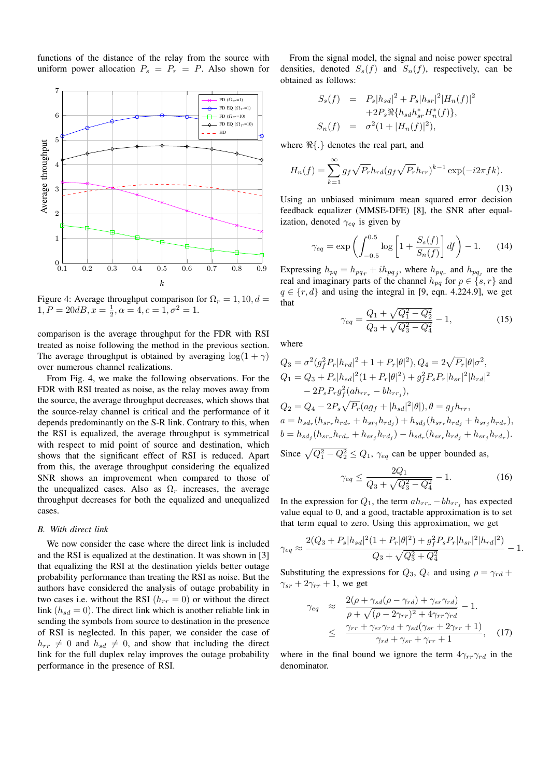functions of the distance of the relay from the source with uniform power allocation  $P_s = P_r = P$ . Also shown for



Figure 4: Average throughput comparison for  $\Omega_r = 1, 10, d =$  $1, P = 20dB, x = \frac{1}{2}, \alpha = 4, c = 1, \sigma^2 = 1.$ 

comparison is the average throughput for the FDR with RSI treated as noise following the method in the previous section. The average throughput is obtained by averaging  $\log(1 + \gamma)$ over numerous channel realizations.

From Fig. 4, we make the following observations. For the FDR with RSI treated as noise, as the relay moves away from the source, the average throughput decreases, which shows that the source-relay channel is critical and the performance of it depends predominantly on the S-R link. Contrary to this, when the RSI is equalized, the average throughput is symmetrical with respect to mid point of source and destination, which shows that the significant effect of RSI is reduced. Apart from this, the average throughput considering the equalized SNR shows an improvement when compared to those of the unequalized cases. Also as  $\Omega_r$  increases, the average throughput decreases for both the equalized and unequalized cases.

### *B. With direct link*

We now consider the case where the direct link is included and the RSI is equalized at the destination. It was shown in [3] that equalizing the RSI at the destination yields better outage probability performance than treating the RSI as noise. But the authors have considered the analysis of outage probability in two cases i.e. without the RSI  $(h_{rr} = 0)$  or without the direct link  $(h_{sd} = 0)$ . The direct link which is another reliable link in sending the symbols from source to destination in the presence of RSI is neglected. In this paper, we consider the case of  $h_{rr} \neq 0$  and  $h_{sd} \neq 0$ , and show that including the direct link for the full duplex relay improves the outage probability performance in the presence of RSI.

From the signal model, the signal and noise power spectral densities, denoted  $S<sub>s</sub>(f)$  and  $S<sub>n</sub>(f)$ , respectively, can be obtained as follows:

$$
S_s(f) = P_s|h_{sd}|^2 + P_s|h_{sr}|^2|H_n(f)|^2
$$
  
+2P\_s\Re\{h\_{sd}h\_{sr}^\*H\_n^\*(f)\},  

$$
S_n(f) = \sigma^2(1+|H_n(f)|^2),
$$

where  $\Re\{\cdot\}$  denotes the real part, and

$$
H_n(f) = \sum_{k=1}^{\infty} g_f \sqrt{P_r} h_{rd} (g_f \sqrt{P_r} h_{rr})^{k-1} \exp(-i2\pi f k).
$$
\n(13)

Using an unbiased minimum mean squared error decision feedback equalizer (MMSE-DFE) [8], the SNR after equalization, denoted  $\gamma_{eq}$  is given by

$$
\gamma_{eq} = \exp\left(\int_{-0.5}^{0.5} \log\left[1 + \frac{S_s(f)}{S_n(f)}\right] df\right) - 1. \tag{14}
$$

Expressing  $h_{pq} = h_{pq} + ih_{pq}$ , where  $h_{pq}$  and  $h_{pq}$  are the real and imaginary parts of the channel  $h_{pq}$  for  $p \in \{s, r\}$  and  $q \in \{r, d\}$  and using the integral in [9, eqn. 4.224.9], we get that

$$
\gamma_{eq} = \frac{Q_1 + \sqrt{Q_1^2 - Q_2^2}}{Q_3 + \sqrt{Q_3^2 - Q_4^2}} - 1,\tag{15}
$$

where

$$
Q_3 = \sigma^2 (g_f^2 P_r |h_{rd}|^2 + 1 + P_r |\theta|^2), Q_4 = 2\sqrt{P_r} |\theta|\sigma^2,
$$
  
\n
$$
Q_1 = Q_3 + P_s |h_{sd}|^2 (1 + P_r |\theta|^2) + g_f^2 P_s P_r |h_{sr}|^2 |h_{rd}|^2
$$
  
\n
$$
- 2P_s P_r g_f^2 (ah_{rrr} - bh_{rrj}),
$$
  
\n
$$
Q_2 = Q_4 - 2P_s \sqrt{P_r} (ag_f + |h_{sd}|^2 |\theta|), \theta = g_f h_{rr},
$$
  
\n
$$
a = h_{sd_r} (h_{sr_r} h_{rd_r} + h_{sr_j} h_{rd_j}) + h_{sd_j} (h_{sr_r} h_{rd_j} + h_{sr_j} h_{rd_r}),
$$
  
\n
$$
b = h_{sd_j} (h_{sr_r} h_{rd_r} + h_{sr_j} h_{rd_j}) - h_{sd_r} (h_{sr_r} h_{rd_j} + h_{sr_j} h_{rd_r}).
$$

Since  $\sqrt{Q_1^2 - Q_2^2} \le Q_1$ ,  $\gamma_{eq}$  can be upper bounded as,

$$
\gamma_{eq} \le \frac{2Q_1}{Q_3 + \sqrt{Q_3^2 - Q_4^2}} - 1. \tag{16}
$$

In the expression for  $Q_1$ , the term  $ah_{rr} - bh_{rrj}$  has expected value equal to 0, and a good, tractable approximation is to set that term equal to zero. Using this approximation, we get

$$
\gamma_{eq} \approx \frac{2(Q_3 + P_s|h_{sd}|^2(1 + P_r|\theta|^2) + g_f^2 P_s P_r|h_{sr}|^2|h_{rd}|^2)}{Q_3 + \sqrt{Q_3^2 + Q_4^2}} - 1.
$$

Substituting the expressions for  $Q_3$ ,  $Q_4$  and using  $\rho = \gamma_{rd} +$  $\gamma_{sr} + 2\gamma_{rr} + 1$ , we get

$$
\gamma_{eq} \approx \frac{2(\rho + \gamma_{sd}(\rho - \gamma_{rd}) + \gamma_{sr}\gamma_{rd})}{\rho + \sqrt{(\rho - 2\gamma_{rr})^2 + 4\gamma_{rr}\gamma_{rd}}} - 1.
$$
  

$$
\leq \frac{\gamma_{rr} + \gamma_{sr}\gamma_{rd} + \gamma_{sd}(\gamma_{sr} + 2\gamma_{rr} + 1)}{\gamma_{rd} + \gamma_{sr} + \gamma_{rr} + 1}, \quad (17)
$$

where in the final bound we ignore the term  $4\gamma_{rr}\gamma_{rd}$  in the denominator.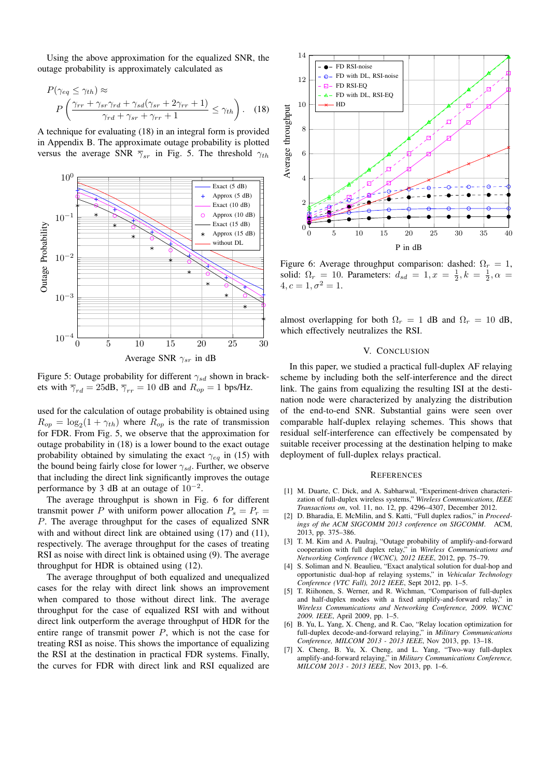Using the above approximation for the equalized SNR, the outage probability is approximately calculated as

$$
P(\gamma_{eq} \leq \gamma_{th}) \approx
$$
  
\n
$$
P\left(\frac{\gamma_{rr} + \gamma_{sr}\gamma_{rd} + \gamma_{sd}(\gamma_{sr} + 2\gamma_{rr} + 1)}{\gamma_{rd} + \gamma_{sr} + \gamma_{rr} + 1} \leq \gamma_{th}\right).
$$
 (18)

A technique for evaluating (18) in an integral form is provided in Appendix B. The approximate outage probability is plotted versus the average SNR  $\overline{\gamma}_{sr}$  in Fig. 5. The threshold  $\gamma_{th}$ 



Figure 5: Outage probability for different  $\gamma_{sd}$  shown in brackets with  $\overline{\gamma}_{rd} = 25$ dB,  $\overline{\gamma}_{rr} = 10$  dB and  $R_{op} = 1$  bps/Hz.

used for the calculation of outage probability is obtained using  $R_{op} = \log_2(1 + \gamma_{th})$  where  $R_{op}$  is the rate of transmission for FDR. From Fig. 5, we observe that the approximation for outage probability in (18) is a lower bound to the exact outage probability obtained by simulating the exact  $\gamma_{eq}$  in (15) with the bound being fairly close for lower  $\gamma_{sd}$ . Further, we observe that including the direct link significantly improves the outage performance by 3 dB at an outage of  $10^{-2}$ .

The average throughput is shown in Fig. 6 for different transmit power P with uniform power allocation  $P_s = P_r =$ P. The average throughput for the cases of equalized SNR with and without direct link are obtained using (17) and (11), respectively. The average throughput for the cases of treating RSI as noise with direct link is obtained using (9). The average throughput for HDR is obtained using (12).

The average throughput of both equalized and unequalized cases for the relay with direct link shows an improvement when compared to those without direct link. The average throughput for the case of equalized RSI with and without direct link outperform the average throughput of HDR for the entire range of transmit power  $P$ , which is not the case for treating RSI as noise. This shows the importance of equalizing the RSI at the destination in practical FDR systems. Finally, the curves for FDR with direct link and RSI equalized are



Figure 6: Average throughput comparison: dashed:  $\Omega_r = 1$ , solid:  $\Omega_r = 10$ . Parameters:  $d_{sd} = 1, x = \frac{1}{2}, k = \frac{1}{2}, \alpha = \frac{1}{2}$  $4, c = 1, \sigma^2 = 1.$ 

almost overlapping for both  $\Omega_r = 1$  dB and  $\Omega_r = 10$  dB, which effectively neutralizes the RSI.

# V. CONCLUSION

In this paper, we studied a practical full-duplex AF relaying scheme by including both the self-interference and the direct link. The gains from equalizing the resulting ISI at the destination node were characterized by analyzing the distribution of the end-to-end SNR. Substantial gains were seen over comparable half-duplex relaying schemes. This shows that residual self-interference can effectively be compensated by suitable receiver processing at the destination helping to make deployment of full-duplex relays practical.

#### **REFERENCES**

- [1] M. Duarte, C. Dick, and A. Sabharwal, "Experiment-driven characterization of full-duplex wireless systems," *Wireless Communications, IEEE Transactions on*, vol. 11, no. 12, pp. 4296–4307, December 2012.
- [2] D. Bharadia, E. McMilin, and S. Katti, "Full duplex radios," in *Proceed*ings of the ACM SIGCOMM 2013 conference on SIGCOMM. 2013, pp. 375–386.
- [3] T. M. Kim and A. Paulraj, "Outage probability of amplify-and-forward cooperation with full duplex relay," in *Wireless Communications and Networking Conference (WCNC), 2012 IEEE*, 2012, pp. 75–79.
- [4] S. Soliman and N. Beaulieu, "Exact analytical solution for dual-hop and opportunistic dual-hop af relaying systems," in *Vehicular Technology Conference (VTC Fall), 2012 IEEE*, Sept 2012, pp. 1–5.
- [5] T. Riihonen, S. Werner, and R. Wichman, "Comparison of full-duplex and half-duplex modes with a fixed amplify-and-forward relay," in *Wireless Communications and Networking Conference, 2009. WCNC 2009. IEEE*, April 2009, pp. 1–5.
- [6] B. Yu, L. Yang, X. Cheng, and R. Cao, "Relay location optimization for full-duplex decode-and-forward relaying," in *Military Communications Conference, MILCOM 2013 - 2013 IEEE*, Nov 2013, pp. 13–18.
- [7] X. Cheng, B. Yu, X. Cheng, and L. Yang, "Two-way full-duplex amplify-and-forward relaying," in *Military Communications Conference, MILCOM 2013 - 2013 IEEE*, Nov 2013, pp. 1–6.